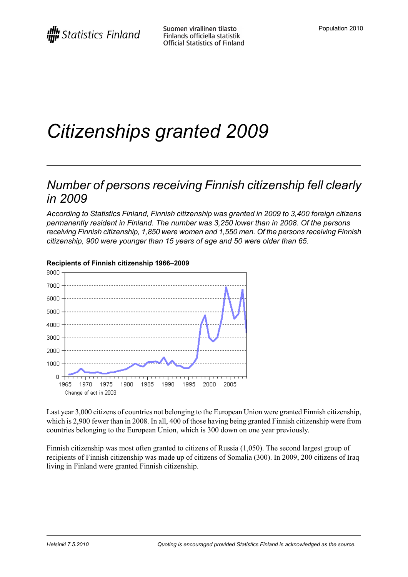# *Citizenships granted 2009*

### *Number of persons receiving Finnish citizenship fell clearly in 2009*

*According to Statistics Finland, Finnish citizenship was granted in 2009 to 3,400 foreign citizens permanently resident in Finland. The number was 3,250 lower than in 2008. Of the persons receiving Finnish citizenship, 1,850 were women and 1,550 men. Of the persons receiving Finnish citizenship, 900 were younger than 15 years of age and 50 were older than 65.*



#### **Recipients of Finnish citizenship 1966–2009**

Last year 3,000 citizens of countries not belonging to the European Union were granted Finnish citizenship, which is 2,900 fewer than in 2008. In all, 400 of those having being granted Finnish citizenship were from countries belonging to the European Union, which is 300 down on one year previously.

Finnish citizenship was most often granted to citizens of Russia (1,050). The second largest group of recipients of Finnish citizenship was made up of citizens of Somalia (300). In 2009, 200 citizens of Iraq living in Finland were granted Finnish citizenship.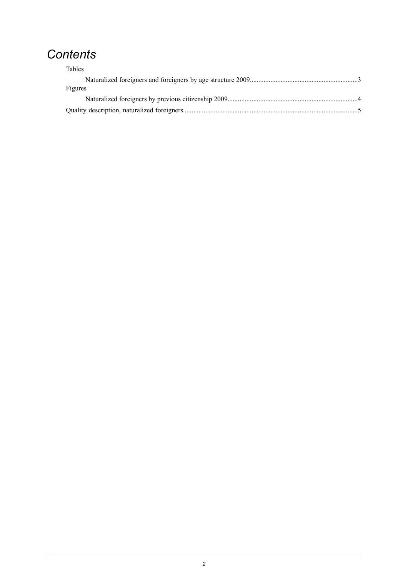## *Contents*

| Tables  |  |
|---------|--|
|         |  |
| Figures |  |
|         |  |
|         |  |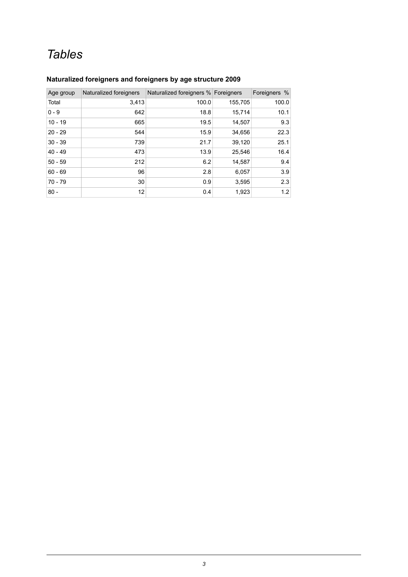## *Tables*

#### <span id="page-2-0"></span>**Naturalized foreigners and foreigners by age structure 2009**

| Age group | Naturalized foreigners | Naturalized foreigners % Foreigners |         | Foreigners % |
|-----------|------------------------|-------------------------------------|---------|--------------|
| Total     | 3,413                  | 100.0                               | 155,705 | 100.0        |
| $0 - 9$   | 642                    | 18.8                                | 15,714  | 10.1         |
| $10 - 19$ | 665                    | 19.5                                | 14,507  | 9.3          |
| $20 - 29$ | 544                    | 15.9                                | 34,656  | 22.3         |
| $30 - 39$ | 739                    | 21.7                                | 39,120  | 25.1         |
| $40 - 49$ | 473                    | 13.9                                | 25,546  | 16.4         |
| $50 - 59$ | 212                    | 6.2                                 | 14,587  | 9.4          |
| $60 - 69$ | 96                     | 2.8                                 | 6,057   | 3.9          |
| $70 - 79$ | 30                     | 0.9                                 | 3,595   | 2.3          |
| $80 -$    | 12                     | 0.4                                 | 1,923   | 1.2          |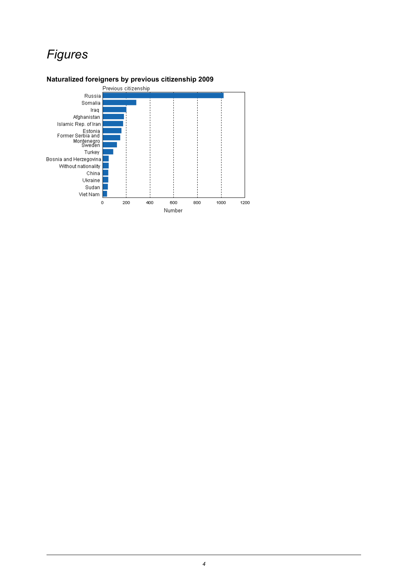## *Figures*

#### <span id="page-3-0"></span>**Naturalized foreigners by previous citizenship 2009**

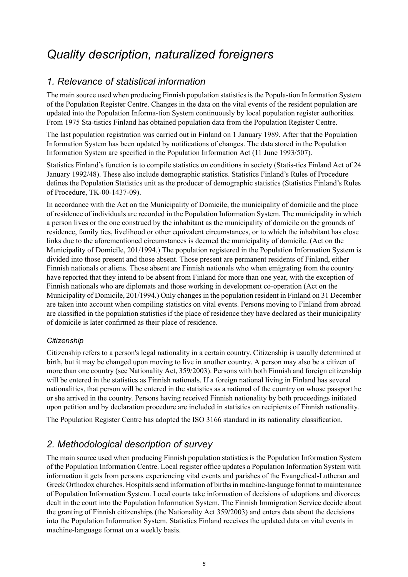## <span id="page-4-0"></span>*Quality description, naturalized foreigners*

### *1. Relevance of statistical information*

The main source used when producing Finnish population statistics is the Popula-tion Information System of the Population Register Centre. Changes in the data on the vital events of the resident population are updated into the Population Informa-tion System continuously by local population register authorities. From 1975 Sta-tistics Finland has obtained population data from the Population Register Centre.

The last population registration was carried out in Finland on 1 January 1989. After that the Population Information System has been updated by notifications of changes. The data stored in the Population Information System are specified in the Population Information Act (11 June 1993/507).

Statistics Finland's function is to compile statistics on conditions in society (Statis-tics Finland Act of 24 January 1992/48). These also include demographic statistics. Statistics Finland's Rules of Procedure defines the Population Statistics unit as the producer of demographic statistics (Statistics Finland's Rules of Procedure, TK-00-1437-09).

In accordance with the Act on the Municipality of Domicile, the municipality of domicile and the place of residence of individuals are recorded in the Population Information System. The municipality in which a person lives or the one construed by the inhabitant as the municipality of domicile on the grounds of residence, family ties, livelihood or other equivalent circumstances, or to which the inhabitant has close links due to the aforementioned circumstances is deemed the municipality of domicile. (Act on the Municipality of Domicile, 201/1994.) The population registered in the Population Information System is divided into those present and those absent. Those present are permanent residents of Finland, either Finnish nationals or aliens. Those absent are Finnish nationals who when emigrating from the country have reported that they intend to be absent from Finland for more than one year, with the exception of Finnish nationals who are diplomats and those working in development co-operation (Act on the Municipality of Domicile, 201/1994.) Only changes in the population resident in Finland on 31 December are taken into account when compiling statistics on vital events. Persons moving to Finland from abroad are classified in the population statistics if the place of residence they have declared as their municipality of domicile is later confirmed as their place of residence.

#### *Citizenship*

Citizenship refers to a person's legal nationality in a certain country. Citizenship is usually determined at birth, but it may be changed upon moving to live in another country. A person may also be a citizen of more than one country (see Nationality Act, 359/2003). Persons with both Finnish and foreign citizenship will be entered in the statistics as Finnish nationals. If a foreign national living in Finland has several nationalities, that person will be entered in the statistics as a national of the country on whose passport he or she arrived in the country. Persons having received Finnish nationality by both proceedings initiated upon petition and by declaration procedure are included in statistics on recipients of Finnish nationality.

The Population Register Centre has adopted the ISO 3166 standard in its nationality classification.

### *2. Methodological description of survey*

The main source used when producing Finnish population statistics is the Population Information System of the Population Information Centre. Local register office updates a Population Information System with information it gets from persons experiencing vital events and parishes of the Evangelical-Lutheran and Greek Orthodox churches. Hospitals send information of births in machine-language format to maintenance of Population Information System. Local courts take information of decisions of adoptions and divorces dealt in the court into the Population Information System. The Finnish Immigration Service decide about the granting of Finnish citizenships (the Nationality Act 359/2003) and enters data about the decisions into the Population Information System. Statistics Finland receives the updated data on vital events in machine-language format on a weekly basis.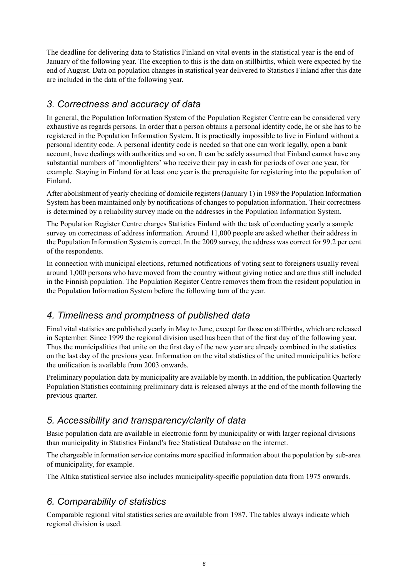The deadline for delivering data to Statistics Finland on vital events in the statistical year is the end of January of the following year. The exception to this is the data on stillbirths, which were expected by the end of August. Data on population changes in statistical year delivered to Statistics Finland after this date are included in the data of the following year.

#### *3. Correctness and accuracy of data*

In general, the Population Information System of the Population Register Centre can be considered very exhaustive as regards persons. In order that a person obtains a personal identity code, he or she has to be registered in the Population Information System. It is practically impossible to live in Finland without a personal identity code. A personal identity code is needed so that one can work legally, open a bank account, have dealings with authorities and so on. It can be safely assumed that Finland cannot have any substantial numbers of 'moonlighters' who receive their pay in cash for periods of over one year, for example. Staying in Finland for at least one year is the prerequisite for registering into the population of Finland.

After abolishment of yearly checking of domicile registers (January 1) in 1989 the Population Information System has been maintained only by notifications of changes to population information. Their correctness is determined by a reliability survey made on the addresses in the Population Information System.

The Population Register Centre charges Statistics Finland with the task of conducting yearly a sample survey on correctness of address information. Around 11,000 people are asked whether their address in the Population Information System is correct. In the 2009 survey, the address was correct for 99.2 per cent of the respondents.

In connection with municipal elections, returned notifications of voting sent to foreigners usually reveal around 1,000 persons who have moved from the country without giving notice and are thus still included in the Finnish population. The Population Register Centre removes them from the resident population in the Population Information System before the following turn of the year.

### *4. Timeliness and promptness of published data*

Final vital statistics are published yearly in May to June, except for those on stillbirths, which are released in September. Since 1999 the regional division used has been that of the first day of the following year. Thus the municipalities that unite on the first day of the new year are already combined in the statistics on the last day of the previous year. Information on the vital statistics of the united municipalities before the unification is available from 2003 onwards.

Preliminary population data by municipality are available by month. In addition, the publication Quarterly Population Statistics containing preliminary data is released always at the end of the month following the previous quarter.

### *5. Accessibility and transparency/clarity of data*

Basic population data are available in electronic form by municipality or with larger regional divisions than municipality in Statistics Finland's free Statistical Database on the internet.

The chargeable information service contains more specified information about the population by sub-area of municipality, for example.

The Altika statistical service also includes municipality-specific population data from 1975 onwards.

### *6. Comparability of statistics*

Comparable regional vital statistics series are available from 1987. The tables always indicate which regional division is used.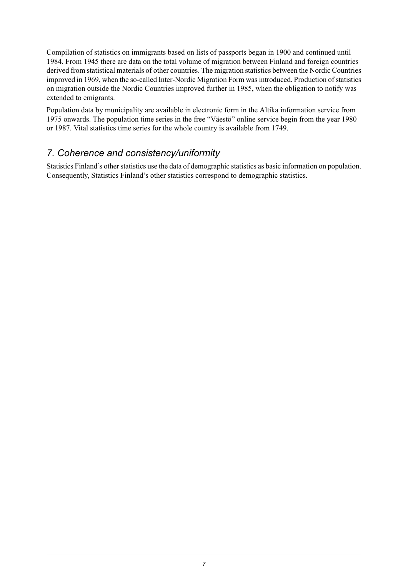Compilation of statistics on immigrants based on lists of passports began in 1900 and continued until 1984. From 1945 there are data on the total volume of migration between Finland and foreign countries derived from statistical materials of other countries. The migration statistics between the Nordic Countries improved in 1969, when the so-called Inter-Nordic Migration Form was introduced. Production of statistics on migration outside the Nordic Countries improved further in 1985, when the obligation to notify was extended to emigrants.

Population data by municipality are available in electronic form in the Altika information service from 1975 onwards. The population time series in the free "Väestö" online service begin from the year 1980 or 1987. Vital statistics time series for the whole country is available from 1749.

#### *7. Coherence and consistency/uniformity*

Statistics Finland's other statistics use the data of demographic statistics as basic information on population. Consequently, Statistics Finland's other statistics correspond to demographic statistics.